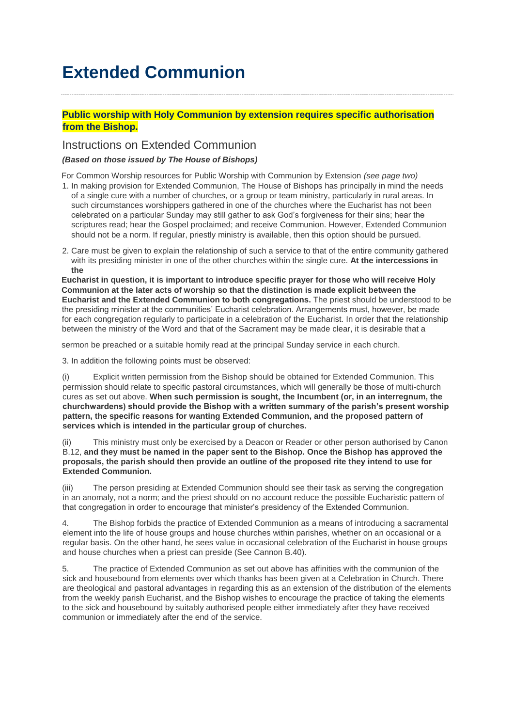# **Extended Communion**

# **Public worship with Holy Communion by extension requires specific authorisation from the Bishop.**

# Instructions on Extended Communion

### *(Based on those issued by The House of Bishops)*

For Common Worship resources for Public Worship with Communion by Extension *(see page two)*

- 1. In making provision for Extended Communion, The House of Bishops has principally in mind the needs of a single cure with a number of churches, or a group or team ministry, particularly in rural areas. In such circumstances worshippers gathered in one of the churches where the Eucharist has not been celebrated on a particular Sunday may still gather to ask God's forgiveness for their sins; hear the scriptures read; hear the Gospel proclaimed; and receive Communion. However, Extended Communion should not be a norm. If regular, priestly ministry is available, then this option should be pursued.
- 2. Care must be given to explain the relationship of such a service to that of the entire community gathered with its presiding minister in one of the other churches within the single cure. **At the intercessions in the**

**Eucharist in question, it is important to introduce specific prayer for those who will receive Holy Communion at the later acts of worship so that the distinction is made explicit between the Eucharist and the Extended Communion to both congregations.** The priest should be understood to be the presiding minister at the communities' Eucharist celebration. Arrangements must, however, be made for each congregation regularly to participate in a celebration of the Eucharist. In order that the relationship between the ministry of the Word and that of the Sacrament may be made clear, it is desirable that a

sermon be preached or a suitable homily read at the principal Sunday service in each church.

3. In addition the following points must be observed:

(i) Explicit written permission from the Bishop should be obtained for Extended Communion. This permission should relate to specific pastoral circumstances, which will generally be those of multi-church cures as set out above. **When such permission is sought, the Incumbent (or, in an interregnum, the churchwardens) should provide the Bishop with a written summary of the parish's present worship pattern, the specific reasons for wanting Extended Communion, and the proposed pattern of services which is intended in the particular group of churches.**

(ii) This ministry must only be exercised by a Deacon or Reader or other person authorised by Canon B.12, **and they must be named in the paper sent to the Bishop. Once the Bishop has approved the proposals, the parish should then provide an outline of the proposed rite they intend to use for Extended Communion.**

(iii) The person presiding at Extended Communion should see their task as serving the congregation in an anomaly, not a norm; and the priest should on no account reduce the possible Eucharistic pattern of that congregation in order to encourage that minister's presidency of the Extended Communion.

4. The Bishop forbids the practice of Extended Communion as a means of introducing a sacramental element into the life of house groups and house churches within parishes, whether on an occasional or a regular basis. On the other hand, he sees value in occasional celebration of the Eucharist in house groups and house churches when a priest can preside (See Cannon B.40).

5. The practice of Extended Communion as set out above has affinities with the communion of the sick and housebound from elements over which thanks has been given at a Celebration in Church. There are theological and pastoral advantages in regarding this as an extension of the distribution of the elements from the weekly parish Eucharist, and the Bishop wishes to encourage the practice of taking the elements to the sick and housebound by suitably authorised people either immediately after they have received communion or immediately after the end of the service.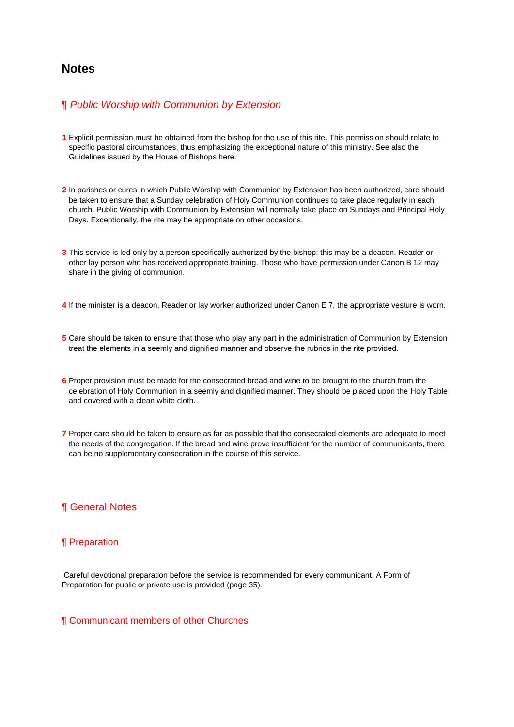# **Notes**

# ¶ *Public Worship with Communion by Extension*

- **1** Explicit permission must be obtained from the bishop for the use of this rite. This permission should relate to specific pastoral circumstances, thus emphasizing the exceptional nature of this ministry. See also the Guidelines issued by the House of Bishops here.
- **2** In parishes or cures in which Public Worship with Communion by Extension has been authorized, care should be taken to ensure that a Sunday celebration of Holy Communion continues to take place regularly in each church. Public Worship with Communion by Extension will normally take place on Sundays and Principal Holy Days. Exceptionally, the rite may be appropriate on other occasions.
- **3** This service is led only by a person specifically authorized by the bishop; this may be a deacon, Reader or other lay person who has received appropriate training. Those who have permission under Canon B 12 may share in the giving of communion.
- **4** If the minister is a deacon, Reader or lay worker authorized under Canon E 7, the appropriate vesture is worn.
- **5** Care should be taken to ensure that those who play any part in the administration of Communion by Extension treat the elements in a seemly and dignified manner and observe the rubrics in the rite provided.
- **6** Proper provision must be made for the consecrated bread and wine to be brought to the church from the celebration of Holy Communion in a seemly and dignified manner. They should be placed upon the Holy Table and covered with a clean white cloth.
- **7** Proper care should be taken to ensure as far as possible that the consecrated elements are adequate to meet the needs of the congregation. If the bread and wine prove insufficient for the number of communicants, there can be no supplementary consecration in the course of this service.

# ¶ General Notes

# ¶ Preparation

Careful devotional preparation before the service is recommended for every communicant. A Form of Preparation for public or private use is provided (page 35).

# ¶ Communicant members of other Churches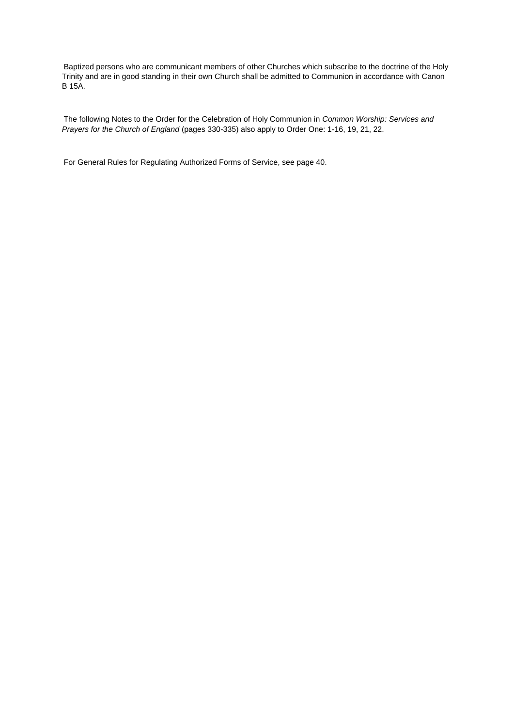Baptized persons who are communicant members of other Churches which subscribe to the doctrine of the Holy Trinity and are in good standing in their own Church shall be admitted to Communion in accordance with Canon B 15A.

The following Notes to the Order for the Celebration of Holy Communion in *Common Worship: Services and Prayers for the Church of England* (pages 330-335) also apply to Order One: 1-16, 19, 21, 22.

For General Rules for Regulating Authorized Forms of Service, see page 40.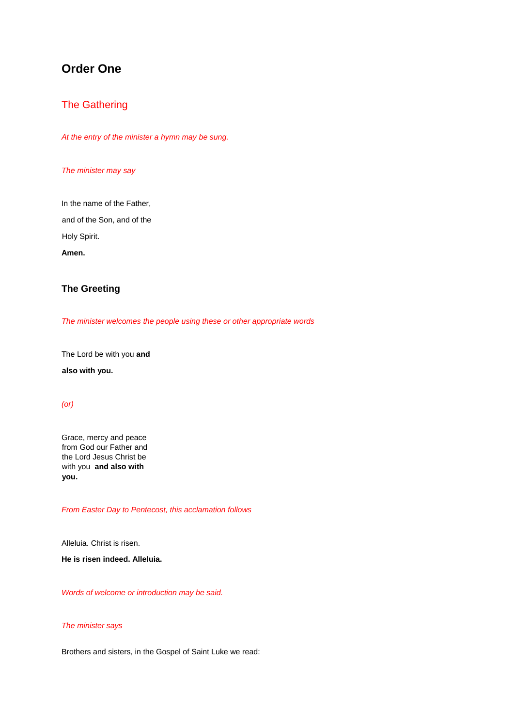# **Order One**

# The Gathering

*At the entry of the minister a hymn may be sung.*

#### *The minister may say*

In the name of the Father,

and of the Son, and of the

Holy Spirit.

**Amen.** 

# **The Greeting**

*The minister welcomes the people using these or other appropriate words*

The Lord be with you **and** 

**also with you.**

# *(or)*

Grace, mercy and peace from God our Father and the Lord Jesus Christ be with you **and also with you.**

*From Easter Day to Pentecost, this acclamation follows* 

Alleluia. Christ is risen.

**He is risen indeed. Alleluia.**

*Words of welcome or introduction may be said.*

### *The minister says*

Brothers and sisters, in the Gospel of Saint Luke we read: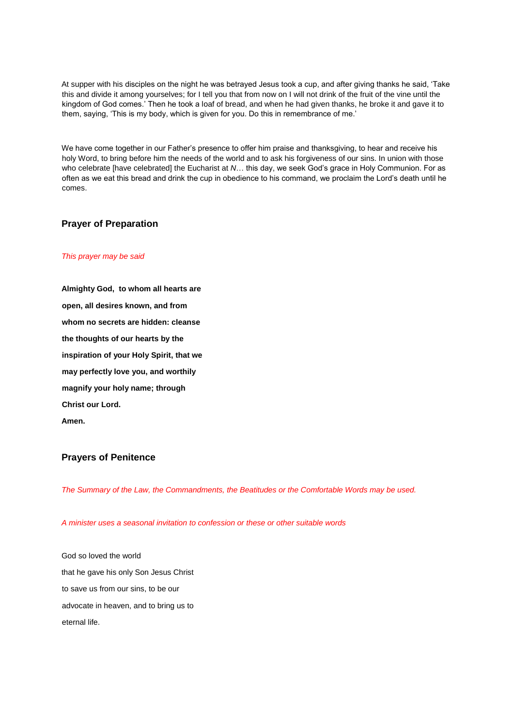At supper with his disciples on the night he was betrayed Jesus took a cup, and after giving thanks he said, 'Take this and divide it among yourselves; for I tell you that from now on I will not drink of the fruit of the vine until the kingdom of God comes.' Then he took a loaf of bread, and when he had given thanks, he broke it and gave it to them, saying, 'This is my body, which is given for you. Do this in remembrance of me.'

We have come together in our Father's presence to offer him praise and thanksgiving, to hear and receive his holy Word, to bring before him the needs of the world and to ask his forgiveness of our sins. In union with those who celebrate [have celebrated] the Eucharist at *N*… this day, we seek God's grace in Holy Communion. For as often as we eat this bread and drink the cup in obedience to his command, we proclaim the Lord's death until he comes.

# **Prayer of Preparation**

#### *This prayer may be said*

**Almighty God, to whom all hearts are open, all desires known, and from whom no secrets are hidden: cleanse the thoughts of our hearts by the inspiration of your Holy Spirit, that we may perfectly love you, and worthily magnify your holy name; through Christ our Lord. Amen.**

# **Prayers of Penitence**

*The Summary of the Law, the Commandments, the Beatitudes or the Comfortable Words may be used.*

*A minister uses a seasonal invitation to confession or these or other suitable words*

God so loved the world that he gave his only Son Jesus Christ to save us from our sins, to be our advocate in heaven, and to bring us to eternal life.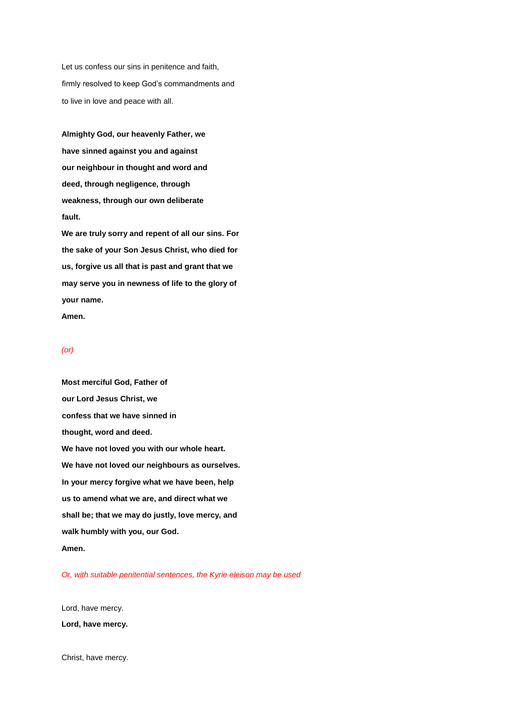Let us confess our sins in penitence and faith, firmly resolved to keep God's commandments and to live in love and peace with all.

**Almighty God, our heavenly Father, we have sinned against you and against our neighbour in thought and word and deed, through negligence, through weakness, through our own deliberate fault.**

**We are truly sorry and repent of all our sins. For the sake of your Son Jesus Christ, who died for us, forgive us all that is past and grant that we may serve you in newness of life to the glory of your name.** 

**Amen.**

### *(or)*

**Most merciful God, Father of our Lord Jesus Christ, we confess that we have sinned in thought, word and deed. We have not loved you with our whole heart. We have not loved our neighbours as ourselves. In your mercy forgive what we have been, help us to amend what we are, and direct what we shall be; that we may do justly, love mercy, and walk humbly with you, our God. Amen.**

*Or, with suitable penitential sentences, the Kyrie eleison may be used* 

Lord, have mercy.

**Lord, have mercy.**

Christ, have mercy.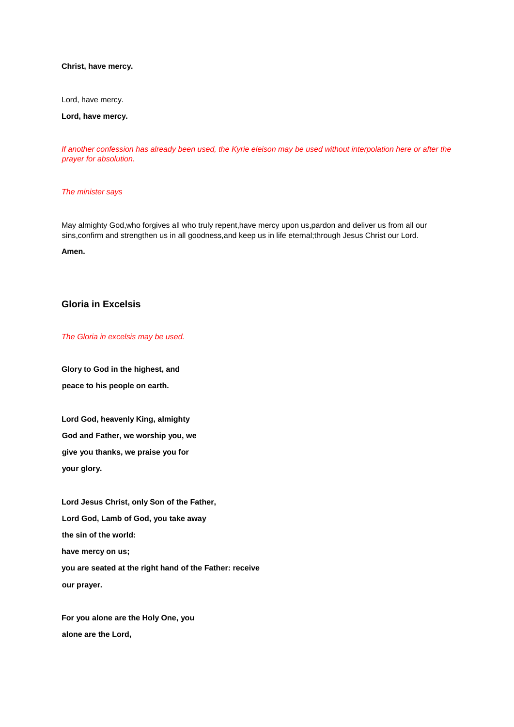#### **Christ, have mercy.**

Lord, have mercy.

#### **Lord, have mercy.**

*If another confession has already been used, the Kyrie eleison may be used without interpolation here or after the prayer for absolution.*

#### *The minister says*

May almighty God,who forgives all who truly repent,have mercy upon us,pardon and deliver us from all our sins,confirm and strengthen us in all goodness,and keep us in life eternal;through Jesus Christ our Lord.

**Amen.**

# **Gloria in Excelsis**

#### *The Gloria in excelsis may be used.*

**Glory to God in the highest, and peace to his people on earth.**

**Lord God, heavenly King, almighty God and Father, we worship you, we give you thanks, we praise you for your glory.**

**Lord Jesus Christ, only Son of the Father, Lord God, Lamb of God, you take away the sin of the world: have mercy on us; you are seated at the right hand of the Father: receive our prayer.**

**For you alone are the Holy One, you alone are the Lord,**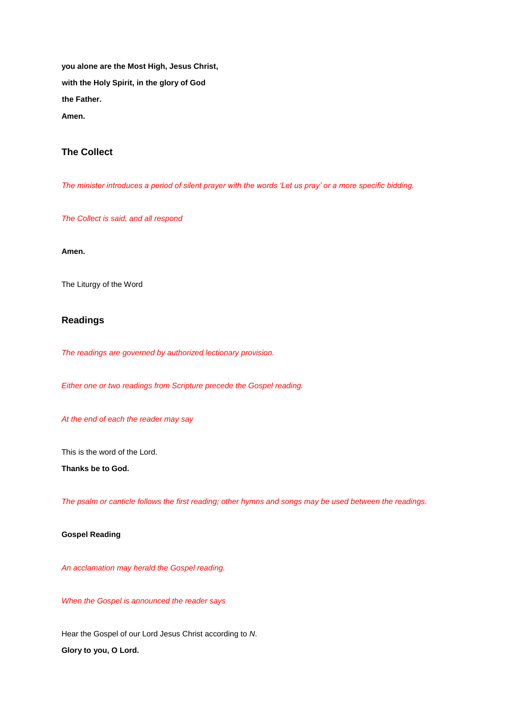**you alone are the Most High, Jesus Christ, with the Holy Spirit, in the glory of God the Father. Amen.**

# **The Collect**

*The minister introduces a period of silent prayer with the words 'Let us pray' or a more specific bidding.* 

*The Collect is said, and all respond* 

**Amen.**

The Liturgy of the Word

# **Readings**

*The readings are governed by authorized lectionary provision.* 

*Either one or two readings from Scripture precede the Gospel reading.* 

*At the end of each the reader may say* 

This is the word of the Lord.

**Thanks be to God.**

*The psalm or canticle follows the first reading; other hymns and songs may be used between the readings.* 

# **Gospel Reading**

*An acclamation may herald the Gospel reading.* 

*When the Gospel is announced the reader says* 

Hear the Gospel of our Lord Jesus Christ according to *N*. **Glory to you, O Lord.**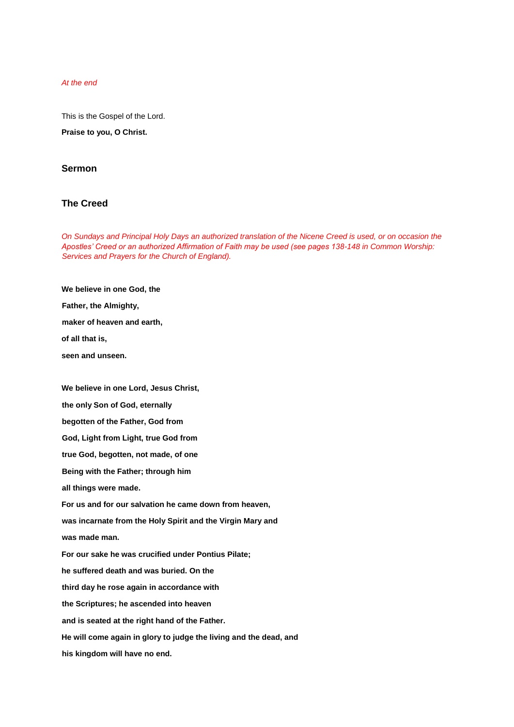#### *At the end*

This is the Gospel of the Lord.

**Praise to you, O Christ.**

# **Sermon**

# **The Creed**

*On Sundays and Principal Holy Days an authorized translation of the Nicene Creed is used, or on occasion the Apostles' Creed or an authorized Affirmation of Faith may be used (see pages 138-148 in Common Worship: Services and Prayers for the Church of England).* 

**We believe in one God, the Father, the Almighty, maker of heaven and earth, of all that is, seen and unseen. We believe in one Lord, Jesus Christ, the only Son of God, eternally begotten of the Father, God from God, Light from Light, true God from true God, begotten, not made, of one Being with the Father; through him all things were made. For us and for our salvation he came down from heaven, was incarnate from the Holy Spirit and the Virgin Mary and was made man. For our sake he was crucified under Pontius Pilate; he suffered death and was buried. On the third day he rose again in accordance with the Scriptures; he ascended into heaven and is seated at the right hand of the Father. He will come again in glory to judge the living and the dead, and his kingdom will have no end.**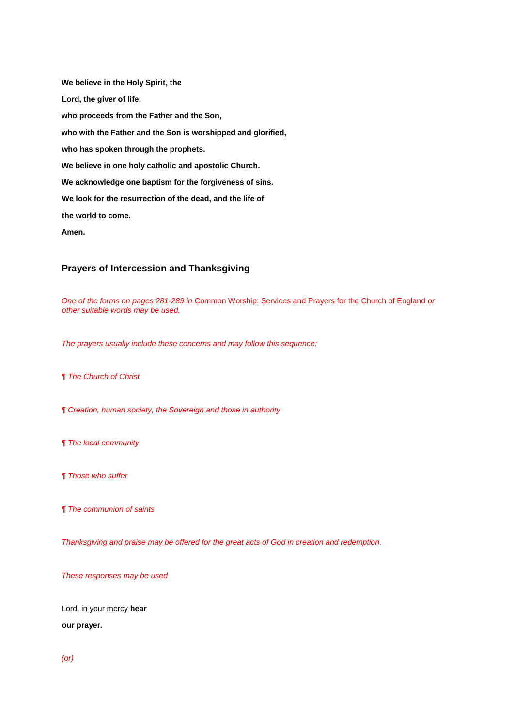**We believe in the Holy Spirit, the Lord, the giver of life, who proceeds from the Father and the Son, who with the Father and the Son is worshipped and glorified, who has spoken through the prophets. We believe in one holy catholic and apostolic Church. We acknowledge one baptism for the forgiveness of sins. We look for the resurrection of the dead, and the life of the world to come. Amen.**

# **Prayers of Intercession and Thanksgiving**

*One of the forms on pages 281-289 in* Common Worship: Services and Prayers for the Church of England *or other suitable words may be used.* 

*The prayers usually include these concerns and may follow this sequence:* 

*¶ The Church of Christ* 

*¶ Creation, human society, the Sovereign and those in authority* 

*¶ The local community* 

*¶ Those who suffer* 

*¶ The communion of saints* 

*Thanksgiving and praise may be offered for the great acts of God in creation and redemption.* 

*These responses may be used* 

Lord, in your mercy **hear** 

**our prayer.**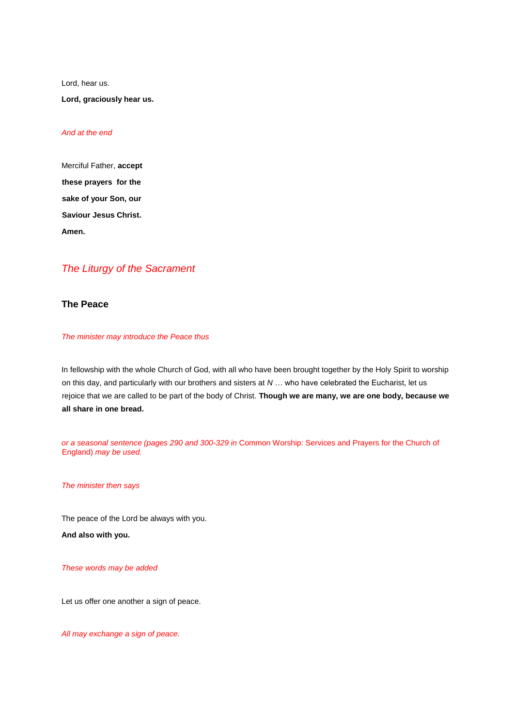Lord, hear us.

**Lord, graciously hear us.**

#### *And at the end*

Merciful Father, **accept these prayers for the sake of your Son, our Saviour Jesus Christ. Amen.**

# *The Liturgy of the Sacrament*

# **The Peace**

#### *The minister may introduce the Peace thus*

In fellowship with the whole Church of God, with all who have been brought together by the Holy Spirit to worship on this day, and particularly with our brothers and sisters at *N* … who have celebrated the Eucharist, let us rejoice that we are called to be part of the body of Christ. **Though we are many, we are one body, because we all share in one bread.**

*or a seasonal sentence (pages 290 and 300-329 in* Common Worship: Services and Prayers for the Church of England) *may be used.* 

*The minister then says* 

The peace of the Lord be always with you.

**And also with you.**

*These words may be added* 

Let us offer one another a sign of peace.

*All may exchange a sign of peace.*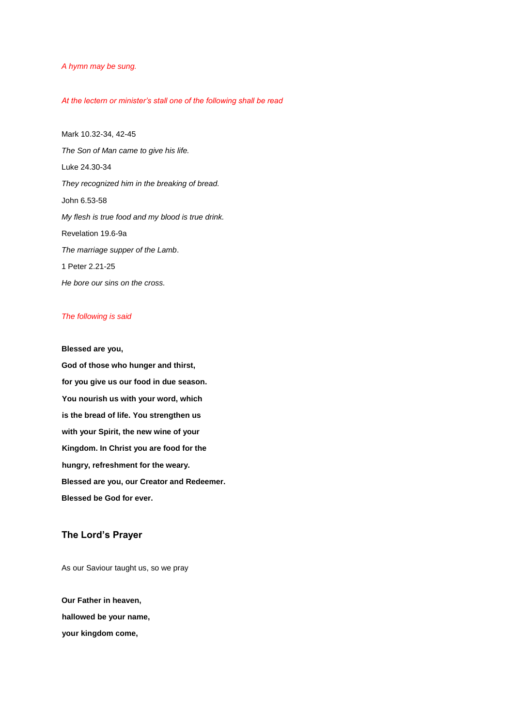*A hymn may be sung.* 

#### *At the lectern or minister's stall one of the following shall be read*

Mark 10.32-34, 42-45 *The Son of Man came to give his life.* Luke 24.30-34 *They recognized him in the breaking of bread.* John 6.53-58 *My flesh is true food and my blood is true drink.* Revelation 19.6-9a *The marriage supper of the Lamb*. 1 Peter 2.21-25 *He bore our sins on the cross.*

### *The following is said*

**Blessed are you, God of those who hunger and thirst, for you give us our food in due season. You nourish us with your word, which is the bread of life. You strengthen us with your Spirit, the new wine of your Kingdom. In Christ you are food for the hungry, refreshment for the weary. Blessed are you, our Creator and Redeemer. Blessed be God for ever.** 

# **The Lord's Prayer**

As our Saviour taught us, so we pray

**Our Father in heaven, hallowed be your name, your kingdom come,**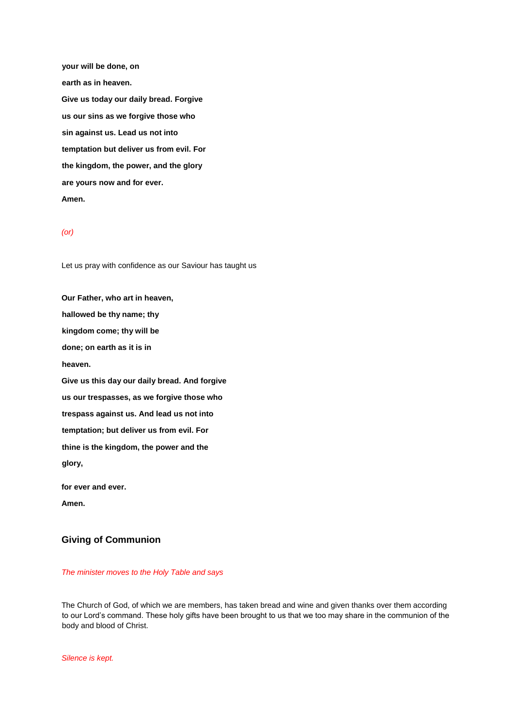**your will be done, on earth as in heaven. Give us today our daily bread. Forgive us our sins as we forgive those who sin against us. Lead us not into temptation but deliver us from evil. For the kingdom, the power, and the glory are yours now and for ever. Amen.**

#### *(or)*

Let us pray with confidence as our Saviour has taught us

**Our Father, who art in heaven, hallowed be thy name; thy kingdom come; thy will be done; on earth as it is in heaven. Give us this day our daily bread. And forgive us our trespasses, as we forgive those who trespass against us. And lead us not into temptation; but deliver us from evil. For thine is the kingdom, the power and the glory,**

**for ever and ever.**

**Amen.**

# **Giving of Communion**

#### *The minister moves to the Holy Table and says*

The Church of God, of which we are members, has taken bread and wine and given thanks over them according to our Lord's command. These holy gifts have been brought to us that we too may share in the communion of the body and blood of Christ.

*Silence is kept.*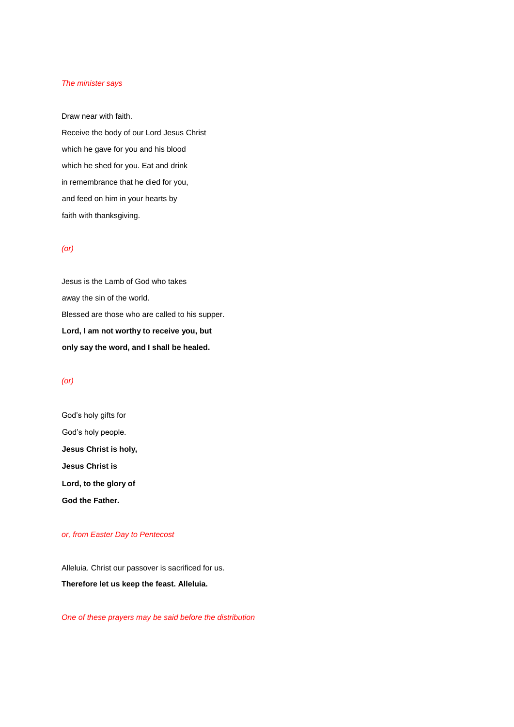#### *The minister says*

Draw near with faith. Receive the body of our Lord Jesus Christ which he gave for you and his blood which he shed for you. Eat and drink in remembrance that he died for you, and feed on him in your hearts by faith with thanksgiving.

### *(or)*

Jesus is the Lamb of God who takes away the sin of the world. Blessed are those who are called to his supper. **Lord, I am not worthy to receive you, but only say the word, and I shall be healed.**

#### *(or)*

God's holy gifts for God's holy people. **Jesus Christ is holy, Jesus Christ is Lord, to the glory of God the Father.**

# *or, from Easter Day to Pentecost*

Alleluia. Christ our passover is sacrificed for us. **Therefore let us keep the feast. Alleluia.**

*One of these prayers may be said before the distribution*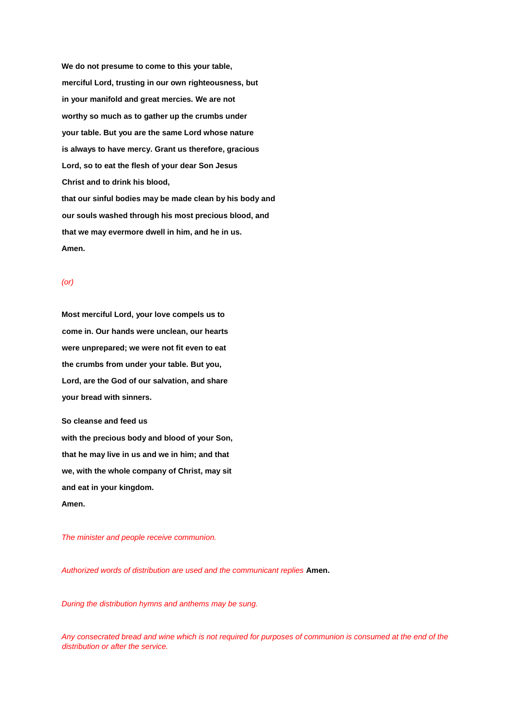**We do not presume to come to this your table, merciful Lord, trusting in our own righteousness, but in your manifold and great mercies. We are not worthy so much as to gather up the crumbs under your table. But you are the same Lord whose nature is always to have mercy. Grant us therefore, gracious Lord, so to eat the flesh of your dear Son Jesus Christ and to drink his blood, that our sinful bodies may be made clean by his body and our souls washed through his most precious blood, and that we may evermore dwell in him, and he in us. Amen.**

#### *(or)*

**Most merciful Lord, your love compels us to come in. Our hands were unclean, our hearts were unprepared; we were not fit even to eat the crumbs from under your table. But you, Lord, are the God of our salvation, and share your bread with sinners.**

**So cleanse and feed us with the precious body and blood of your Son, that he may live in us and we in him; and that we, with the whole company of Christ, may sit and eat in your kingdom.**

**Amen.**

*The minister and people receive communion.* 

*Authorized words of distribution are used and the communicant replies* **Amen.**

*During the distribution hymns and anthems may be sung.* 

*Any consecrated bread and wine which is not required for purposes of communion is consumed at the end of the distribution or after the service.*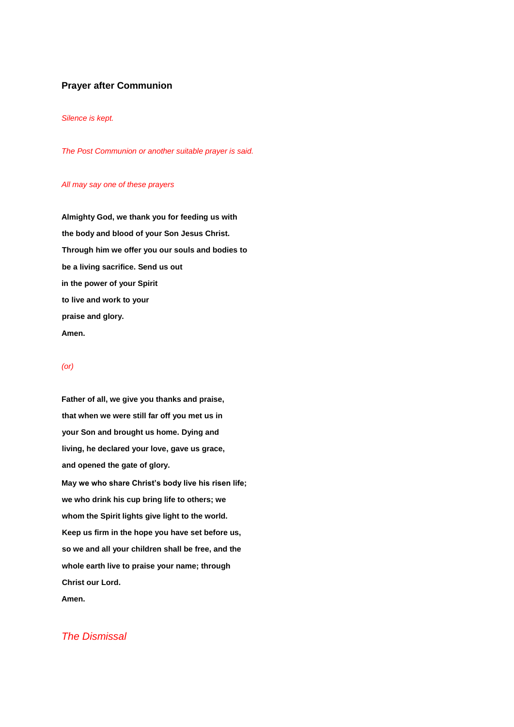### **Prayer after Communion**

#### *Silence is kept.*

*The Post Communion or another suitable prayer is said.* 

### *All may say one of these prayers*

**Almighty God, we thank you for feeding us with the body and blood of your Son Jesus Christ. Through him we offer you our souls and bodies to be a living sacrifice. Send us out in the power of your Spirit to live and work to your praise and glory. Amen.**

### *(or)*

**Father of all, we give you thanks and praise, that when we were still far off you met us in your Son and brought us home. Dying and living, he declared your love, gave us grace, and opened the gate of glory. May we who share Christ's body live his risen life; we who drink his cup bring life to others; we whom the Spirit lights give light to the world. Keep us firm in the hope you have set before us, so we and all your children shall be free, and the whole earth live to praise your name; through Christ our Lord. Amen.**

# *The Dismissal*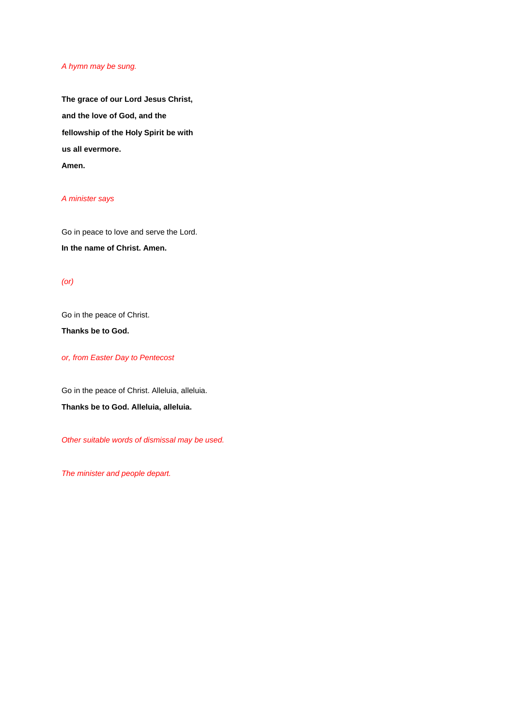### *A hymn may be sung.*

**The grace of our Lord Jesus Christ, and the love of God, and the fellowship of the Holy Spirit be with us all evermore. Amen.**

### *A minister says*

Go in peace to love and serve the Lord. **In the name of Christ. Amen.**

# *(or)*

Go in the peace of Christ.

**Thanks be to God.**

*or, from Easter Day to Pentecost* 

Go in the peace of Christ. Alleluia, alleluia. **Thanks be to God. Alleluia, alleluia.**

*Other suitable words of dismissal may be used.* 

*The minister and people depart.*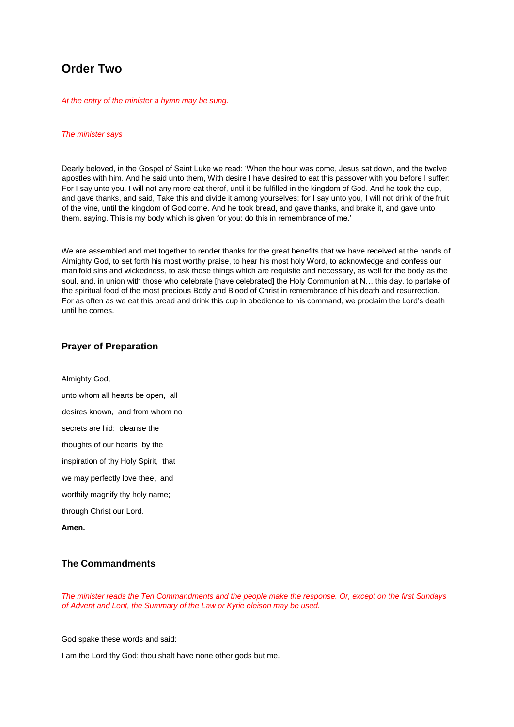# **Order Two**

*At the entry of the minister a hymn may be sung.* 

#### *The minister says*

Dearly beloved, in the Gospel of Saint Luke we read: 'When the hour was come, Jesus sat down, and the twelve apostles with him. And he said unto them, With desire I have desired to eat this passover with you before I suffer: For I say unto you, I will not any more eat therof, until it be fulfilled in the kingdom of God. And he took the cup, and gave thanks, and said, Take this and divide it among yourselves: for I say unto you, I will not drink of the fruit of the vine, until the kingdom of God come. And he took bread, and gave thanks, and brake it, and gave unto them, saying, This is my body which is given for you: do this in remembrance of me.'

We are assembled and met together to render thanks for the great benefits that we have received at the hands of Almighty God, to set forth his most worthy praise, to hear his most holy Word, to acknowledge and confess our manifold sins and wickedness, to ask those things which are requisite and necessary, as well for the body as the soul, and, in union with those who celebrate [have celebrated] the Holy Communion at N... this day, to partake of the spiritual food of the most precious Body and Blood of Christ in remembrance of his death and resurrection. For as often as we eat this bread and drink this cup in obedience to his command, we proclaim the Lord's death until he comes.

### **Prayer of Preparation**

Almighty God,

unto whom all hearts be open, all desires known, and from whom no secrets are hid: cleanse the thoughts of our hearts by the inspiration of thy Holy Spirit, that we may perfectly love thee, and worthily magnify thy holy name; through Christ our Lord. **Amen.**

# **The Commandments**

*The minister reads the Ten Commandments and the people make the response. Or, except on the first Sundays of Advent and Lent, the Summary of the Law or Kyrie eleison may be used.* 

God spake these words and said:

I am the Lord thy God; thou shalt have none other gods but me.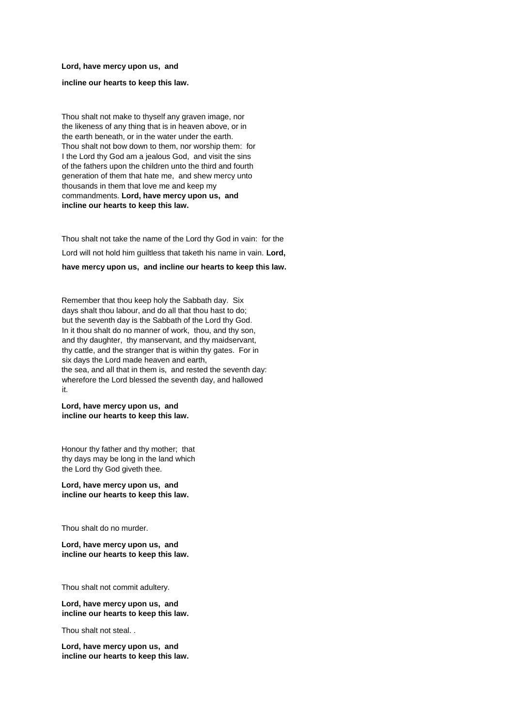**Lord, have mercy upon us, and** 

#### **incline our hearts to keep this law.**

Thou shalt not make to thyself any graven image, nor the likeness of any thing that is in heaven above, or in the earth beneath, or in the water under the earth. Thou shalt not bow down to them, nor worship them: for I the Lord thy God am a jealous God, and visit the sins of the fathers upon the children unto the third and fourth generation of them that hate me, and shew mercy unto thousands in them that love me and keep my commandments. **Lord, have mercy upon us, and incline our hearts to keep this law.**

Thou shalt not take the name of the Lord thy God in vain: for the Lord will not hold him guiltless that taketh his name in vain. **Lord, have mercy upon us, and incline our hearts to keep this law.** 

Remember that thou keep holy the Sabbath day. Six days shalt thou labour, and do all that thou hast to do; but the seventh day is the Sabbath of the Lord thy God. In it thou shalt do no manner of work, thou, and thy son, and thy daughter, thy manservant, and thy maidservant, thy cattle, and the stranger that is within thy gates. For in six days the Lord made heaven and earth, the sea, and all that in them is, and rested the seventh day: wherefore the Lord blessed the seventh day, and hallowed it.

**Lord, have mercy upon us, and incline our hearts to keep this law.**

Honour thy father and thy mother; that thy days may be long in the land which the Lord thy God giveth thee.

**Lord, have mercy upon us, and incline our hearts to keep this law.** 

Thou shalt do no murder.

**Lord, have mercy upon us, and incline our hearts to keep this law.** 

Thou shalt not commit adultery.

**Lord, have mercy upon us, and incline our hearts to keep this law.** 

Thou shalt not steal. .

**Lord, have mercy upon us, and incline our hearts to keep this law.**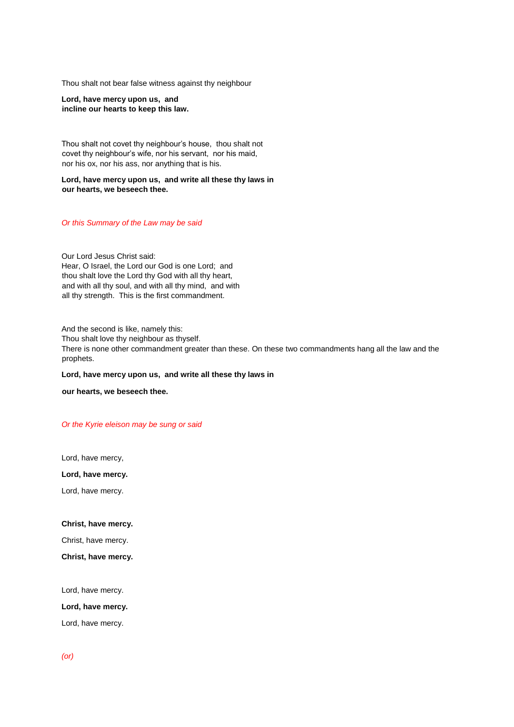Thou shalt not bear false witness against thy neighbour

**Lord, have mercy upon us, and incline our hearts to keep this law.**

Thou shalt not covet thy neighbour's house, thou shalt not covet thy neighbour's wife, nor his servant, nor his maid, nor his ox, nor his ass, nor anything that is his.

**Lord, have mercy upon us, and write all these thy laws in our hearts, we beseech thee.**

*Or this Summary of the Law may be said*

Our Lord Jesus Christ said: Hear, O Israel, the Lord our God is one Lord; and thou shalt love the Lord thy God with all thy heart, and with all thy soul, and with all thy mind, and with all thy strength. This is the first commandment.

And the second is like, namely this: Thou shalt love thy neighbour as thyself. There is none other commandment greater than these. On these two commandments hang all the law and the prophets.

**Lord, have mercy upon us, and write all these thy laws in**

**our hearts, we beseech thee.** 

### *Or the Kyrie eleison may be sung or said*

Lord, have mercy,

**Lord, have mercy.**

Lord, have mercy.

#### **Christ, have mercy.**

Christ, have mercy.

**Christ, have mercy.** 

Lord, have mercy.

#### **Lord, have mercy.**

Lord, have mercy.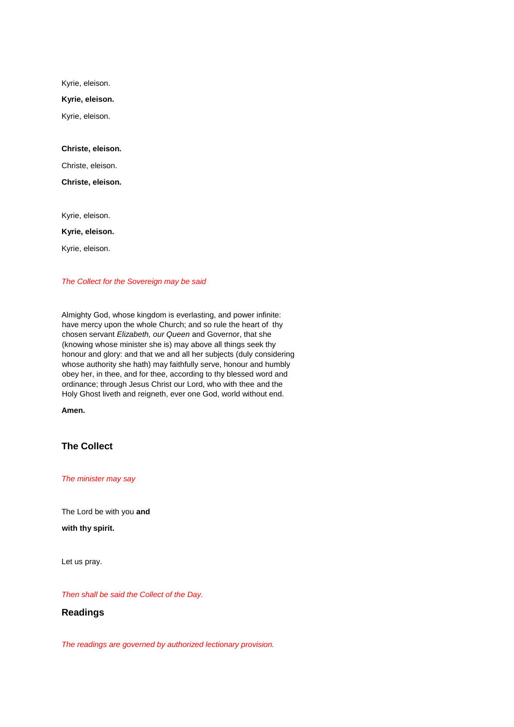Kyrie, eleison.

**Kyrie, eleison.**

Kyrie, eleison.

**Christe, eleison.**

Christe, eleison.

**Christe, eleison.**

Kyrie, eleison.

**Kyrie, eleison.**

Kyrie, eleison.

#### *The Collect for the Sovereign may be said*

Almighty God, whose kingdom is everlasting, and power infinite: have mercy upon the whole Church; and so rule the heart of thy chosen servant *Elizabeth, our Queen* and Governor, that she (knowing whose minister she is) may above all things seek thy honour and glory: and that we and all her subjects (duly considering whose authority she hath) may faithfully serve, honour and humbly obey her, in thee, and for thee, according to thy blessed word and ordinance; through Jesus Christ our Lord, who with thee and the Holy Ghost liveth and reigneth, ever one God, world without end.

#### **Amen.**

# **The Collect**

### *The minister may say*

The Lord be with you **and** 

**with thy spirit.**

Let us pray.

*Then shall be said the Collect of the Day.* 

# **Readings**

*The readings are governed by authorized lectionary provision.*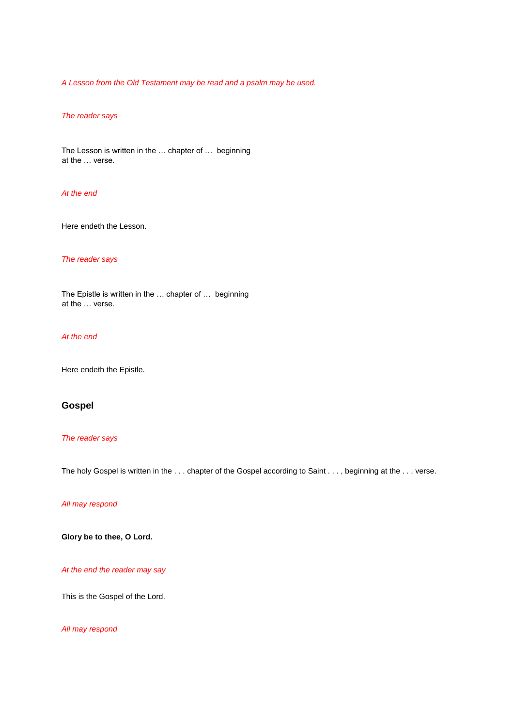*A Lesson from the Old Testament may be read and a psalm may be used.* 

#### *The reader says*

The Lesson is written in the … chapter of … beginning at the … verse.

#### *At the end*

Here endeth the Lesson.

#### *The reader says*

The Epistle is written in the … chapter of … beginning at the … verse.

# *At the end*

Here endeth the Epistle.

# **Gospel**

### *The reader says*

The holy Gospel is written in the . . . chapter of the Gospel according to Saint . . . , beginning at the . . . verse.

#### *All may respond*

**Glory be to thee, O Lord.** 

#### *At the end the reader may say*

This is the Gospel of the Lord.

*All may respond*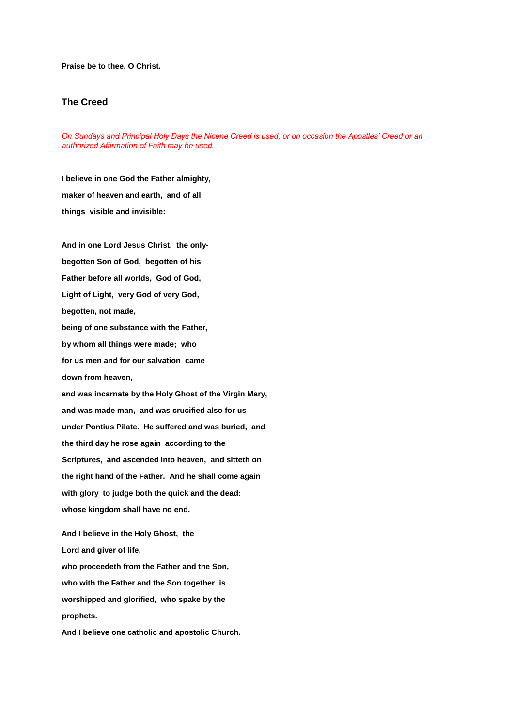### **The Creed**

*On Sundays and Principal Holy Days the Nicene Creed is used, or on occasion the Apostles' Creed or an authorized Affirmation of Faith may be used.* 

**I believe in one God the Father almighty, maker of heaven and earth, and of all things visible and invisible:**

**And in one Lord Jesus Christ, the onlybegotten Son of God, begotten of his Father before all worlds, God of God, Light of Light, very God of very God, begotten, not made, being of one substance with the Father, by whom all things were made; who for us men and for our salvation came down from heaven, and was incarnate by the Holy Ghost of the Virgin Mary, and was made man, and was crucified also for us under Pontius Pilate. He suffered and was buried, and the third day he rose again according to the Scriptures, and ascended into heaven, and sitteth on the right hand of the Father. And he shall come again with glory to judge both the quick and the dead: whose kingdom shall have no end. And I believe in the Holy Ghost, the Lord and giver of life,** 

**who proceedeth from the Father and the Son, who with the Father and the Son together is worshipped and glorified, who spake by the prophets.**

**And I believe one catholic and apostolic Church.**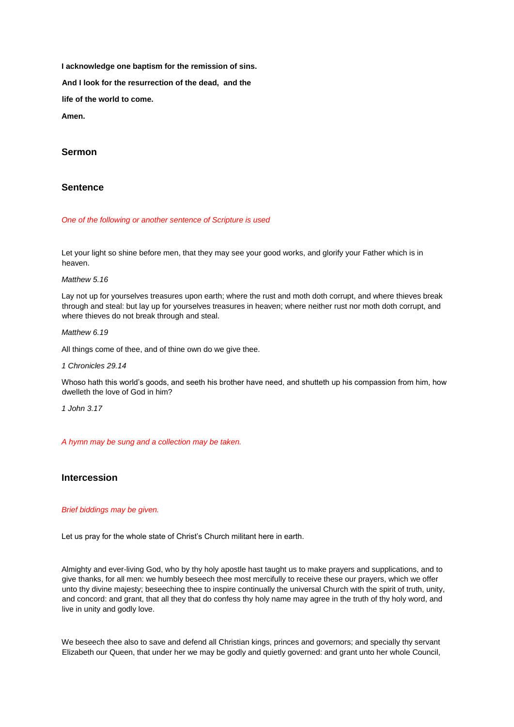**I acknowledge one baptism for the remission of sins. And I look for the resurrection of the dead, and the life of the world to come. Amen.**

# **Sermon**

#### **Sentence**

#### *One of the following or another sentence of Scripture is used*

Let your light so shine before men, that they may see your good works, and glorify your Father which is in heaven.

#### *Matthew 5.16*

Lay not up for yourselves treasures upon earth; where the rust and moth doth corrupt, and where thieves break through and steal: but lay up for yourselves treasures in heaven; where neither rust nor moth doth corrupt, and where thieves do not break through and steal.

*Matthew 6.19*

All things come of thee, and of thine own do we give thee.

*1 Chronicles 29.14*

Whoso hath this world's goods, and seeth his brother have need, and shutteth up his compassion from him, how dwelleth the love of God in him?

*1 John 3.17*

*A hymn may be sung and a collection may be taken.* 

### **Intercession**

#### *Brief biddings may be given.*

Let us pray for the whole state of Christ's Church militant here in earth.

Almighty and ever-living God, who by thy holy apostle hast taught us to make prayers and supplications, and to give thanks, for all men: we humbly beseech thee most mercifully to receive these our prayers, which we offer unto thy divine majesty; beseeching thee to inspire continually the universal Church with the spirit of truth, unity, and concord: and grant, that all they that do confess thy holy name may agree in the truth of thy holy word, and live in unity and godly love.

We beseech thee also to save and defend all Christian kings, princes and governors; and specially thy servant Elizabeth our Queen, that under her we may be godly and quietly governed: and grant unto her whole Council,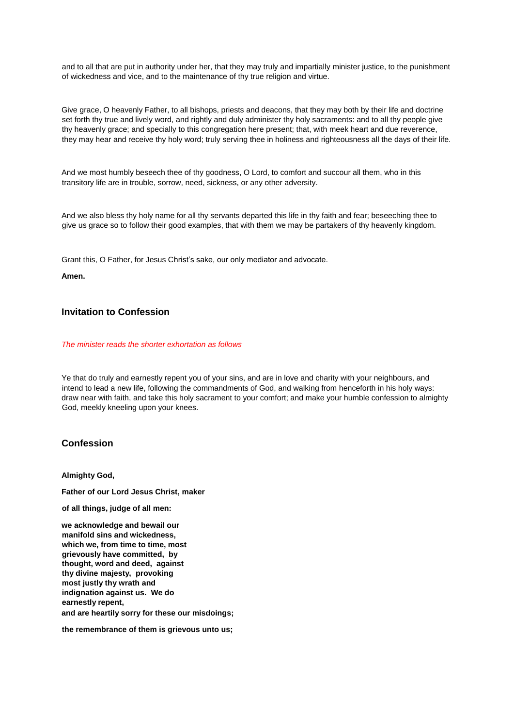and to all that are put in authority under her, that they may truly and impartially minister justice, to the punishment of wickedness and vice, and to the maintenance of thy true religion and virtue.

Give grace, O heavenly Father, to all bishops, priests and deacons, that they may both by their life and doctrine set forth thy true and lively word, and rightly and duly administer thy holy sacraments: and to all thy people give thy heavenly grace; and specially to this congregation here present; that, with meek heart and due reverence, they may hear and receive thy holy word; truly serving thee in holiness and righteousness all the days of their life.

And we most humbly beseech thee of thy goodness, O Lord, to comfort and succour all them, who in this transitory life are in trouble, sorrow, need, sickness, or any other adversity.

And we also bless thy holy name for all thy servants departed this life in thy faith and fear; beseeching thee to give us grace so to follow their good examples, that with them we may be partakers of thy heavenly kingdom.

Grant this, O Father, for Jesus Christ's sake, our only mediator and advocate.

**Amen.**

### **Invitation to Confession**

#### *The minister reads the shorter exhortation as follows*

Ye that do truly and earnestly repent you of your sins, and are in love and charity with your neighbours, and intend to lead a new life, following the commandments of God, and walking from henceforth in his holy ways: draw near with faith, and take this holy sacrament to your comfort; and make your humble confession to almighty God, meekly kneeling upon your knees.

## **Confession**

**Almighty God,** 

**Father of our Lord Jesus Christ, maker** 

**of all things, judge of all men:** 

**we acknowledge and bewail our manifold sins and wickedness, which we, from time to time, most grievously have committed, by thought, word and deed, against thy divine majesty, provoking most justly thy wrath and indignation against us. We do earnestly repent, and are heartily sorry for these our misdoings;** 

**the remembrance of them is grievous unto us;**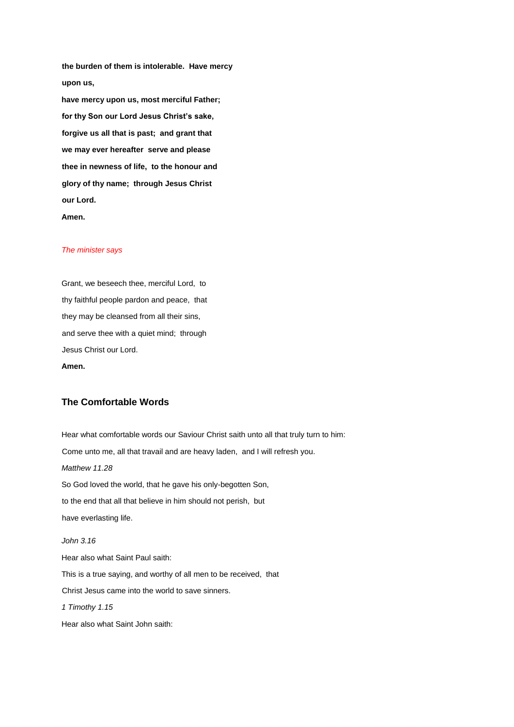**the burden of them is intolerable. Have mercy upon us,** 

**have mercy upon us, most merciful Father; for thy Son our Lord Jesus Christ's sake, forgive us all that is past; and grant that we may ever hereafter serve and please thee in newness of life, to the honour and glory of thy name; through Jesus Christ our Lord. Amen.**

#### *The minister says*

Grant, we beseech thee, merciful Lord, to thy faithful people pardon and peace, that they may be cleansed from all their sins, and serve thee with a quiet mind; through Jesus Christ our Lord. **Amen.**

# **The Comfortable Words**

Hear what comfortable words our Saviour Christ saith unto all that truly turn to him: Come unto me, all that travail and are heavy laden, and I will refresh you. *Matthew 11.28* So God loved the world, that he gave his only-begotten Son, to the end that all that believe in him should not perish, but have everlasting life. *John 3.16* Hear also what Saint Paul saith: This is a true saying, and worthy of all men to be received, that Christ Jesus came into the world to save sinners.

*1 Timothy 1.15*

Hear also what Saint John saith: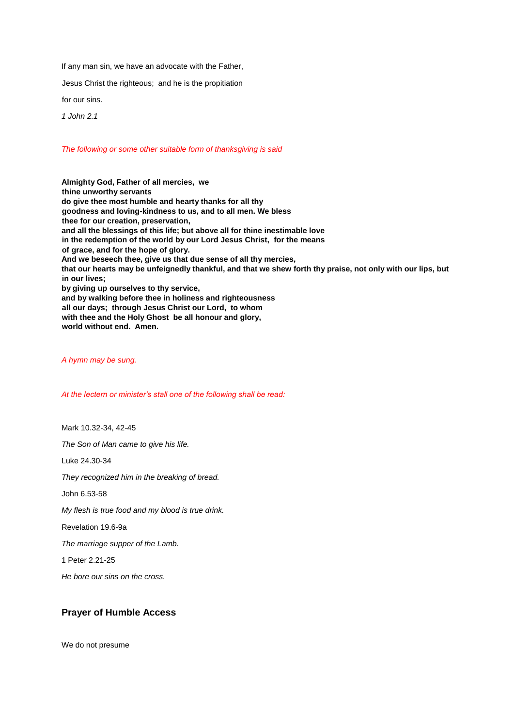If any man sin, we have an advocate with the Father,

Jesus Christ the righteous; and he is the propitiation

for our sins.

*1 John 2.1*

#### *The following or some other suitable form of thanksgiving is said*

**Almighty God, Father of all mercies, we thine unworthy servants do give thee most humble and hearty thanks for all thy goodness and loving-kindness to us, and to all men. We bless thee for our creation, preservation, and all the blessings of this life; but above all for thine inestimable love in the redemption of the world by our Lord Jesus Christ, for the means of grace, and for the hope of glory. And we beseech thee, give us that due sense of all thy mercies, that our hearts may be unfeignedly thankful, and that we shew forth thy praise, not only with our lips, but in our lives; by giving up ourselves to thy service, and by walking before thee in holiness and righteousness all our days; through Jesus Christ our Lord, to whom with thee and the Holy Ghost be all honour and glory, world without end. Amen.** 

#### *A hymn may be sung.*

*At the lectern or minister's stall one of the following shall be read:* 

Mark 10.32-34, 42-45 *The Son of Man came to give his life.* Luke 24.30-34 *They recognized him in the breaking of bread.* John 6.53-58 *My flesh is true food and my blood is true drink.* Revelation 19.6-9a *The marriage supper of the Lamb.* 1 Peter 2.21-25

### **Prayer of Humble Access**

*He bore our sins on the cross.*

We do not presume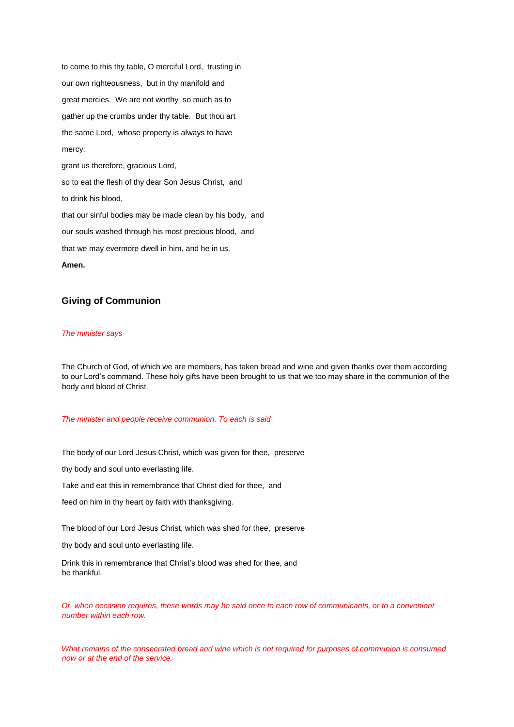to come to this thy table, O merciful Lord, trusting in our own righteousness, but in thy manifold and great mercies. We are not worthy so much as to gather up the crumbs under thy table. But thou art the same Lord, whose property is always to have mercy: grant us therefore, gracious Lord, so to eat the flesh of thy dear Son Jesus Christ, and to drink his blood, that our sinful bodies may be made clean by his body, and our souls washed through his most precious blood, and that we may evermore dwell in him, and he in us. **Amen.**

# **Giving of Communion**

#### *The minister says*

The Church of God, of which we are members, has taken bread and wine and given thanks over them according to our Lord's command. These holy gifts have been brought to us that we too may share in the communion of the body and blood of Christ.

### *The minister and people receive communion. To each is said*

The body of our Lord Jesus Christ, which was given for thee, preserve

thy body and soul unto everlasting life.

Take and eat this in remembrance that Christ died for thee, and

feed on him in thy heart by faith with thanksgiving.

The blood of our Lord Jesus Christ, which was shed for thee, preserve

thy body and soul unto everlasting life.

Drink this in remembrance that Christ's blood was shed for thee, and be thankful.

*Or, when occasion requires, these words may be said once to each row of communicants, or to a convenient number within each row.* 

*What remains of the consecrated bread and wine which is not required for purposes of communion is consumed now or at the end of the service.*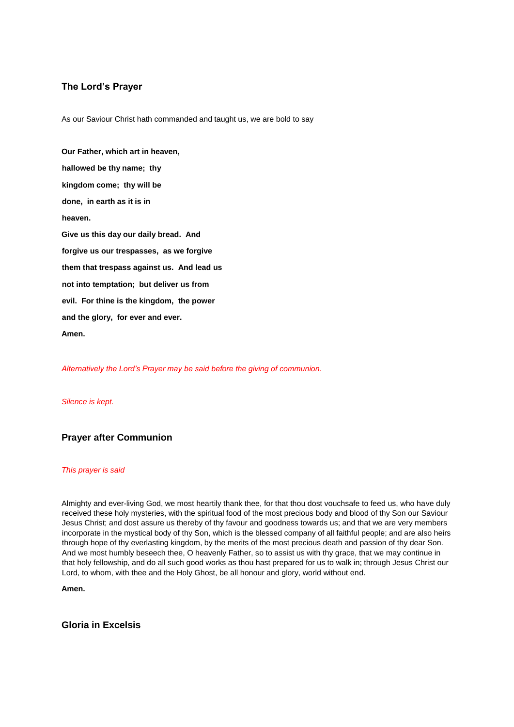# **The Lord's Prayer**

As our Saviour Christ hath commanded and taught us, we are bold to say

**Our Father, which art in heaven, hallowed be thy name; thy kingdom come; thy will be done, in earth as it is in heaven. Give us this day our daily bread. And forgive us our trespasses, as we forgive them that trespass against us. And lead us not into temptation; but deliver us from evil. For thine is the kingdom, the power and the glory, for ever and ever. Amen.** 

*Alternatively the Lord's Prayer may be said before the giving of communion.* 

*Silence is kept.*

# **Prayer after Communion**

#### *This prayer is said*

Almighty and ever-living God, we most heartily thank thee, for that thou dost vouchsafe to feed us, who have duly received these holy mysteries, with the spiritual food of the most precious body and blood of thy Son our Saviour Jesus Christ; and dost assure us thereby of thy favour and goodness towards us; and that we are very members incorporate in the mystical body of thy Son, which is the blessed company of all faithful people; and are also heirs through hope of thy everlasting kingdom, by the merits of the most precious death and passion of thy dear Son. And we most humbly beseech thee, O heavenly Father, so to assist us with thy grace, that we may continue in that holy fellowship, and do all such good works as thou hast prepared for us to walk in; through Jesus Christ our Lord, to whom, with thee and the Holy Ghost, be all honour and glory, world without end.

**Amen.**

# **Gloria in Excelsis**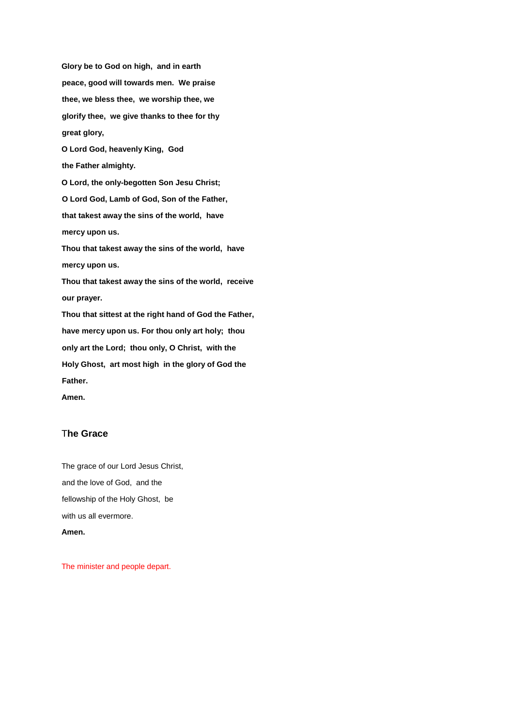**Glory be to God on high, and in earth peace, good will towards men. We praise thee, we bless thee, we worship thee, we glorify thee, we give thanks to thee for thy great glory, O Lord God, heavenly King, God the Father almighty. O Lord, the only-begotten Son Jesu Christ; O Lord God, Lamb of God, Son of the Father, that takest away the sins of the world, have mercy upon us. Thou that takest away the sins of the world, have mercy upon us. Thou that takest away the sins of the world, receive our prayer. Thou that sittest at the right hand of God the Father, have mercy upon us. For thou only art holy; thou only art the Lord; thou only, O Christ, with the Holy Ghost, art most high in the glory of God the Father. Amen.**

# T**he Grace**

The grace of our Lord Jesus Christ, and the love of God, and the fellowship of the Holy Ghost, be with us all evermore. **Amen.**

The minister and people depart.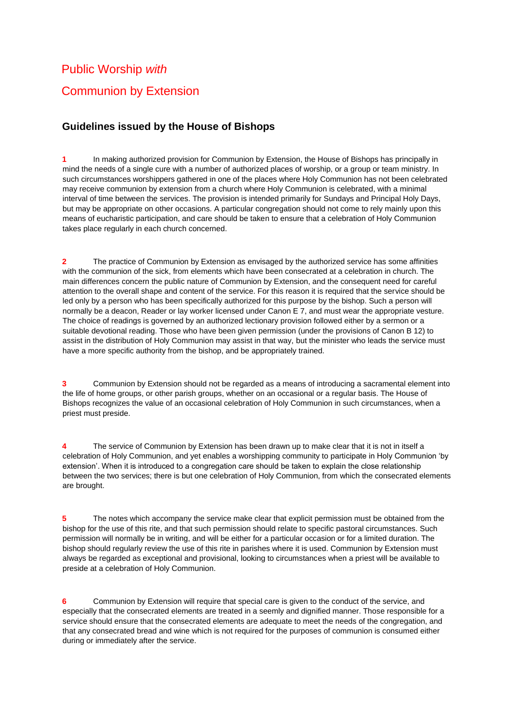# Public Worship *with* Communion by Extension

# **Guidelines issued by the House of Bishops**

**1** In making authorized provision for Communion by Extension, the House of Bishops has principally in mind the needs of a single cure with a number of authorized places of worship, or a group or team ministry. In such circumstances worshippers gathered in one of the places where Holy Communion has not been celebrated may receive communion by extension from a church where Holy Communion is celebrated, with a minimal interval of time between the services. The provision is intended primarily for Sundays and Principal Holy Days, but may be appropriate on other occasions. A particular congregation should not come to rely mainly upon this means of eucharistic participation, and care should be taken to ensure that a celebration of Holy Communion takes place regularly in each church concerned.

**2** The practice of Communion by Extension as envisaged by the authorized service has some affinities with the communion of the sick, from elements which have been consecrated at a celebration in church. The main differences concern the public nature of Communion by Extension, and the consequent need for careful attention to the overall shape and content of the service. For this reason it is required that the service should be led only by a person who has been specifically authorized for this purpose by the bishop. Such a person will normally be a deacon, Reader or lay worker licensed under Canon E 7, and must wear the appropriate vesture. The choice of readings is governed by an authorized lectionary provision followed either by a sermon or a suitable devotional reading. Those who have been given permission (under the provisions of Canon B 12) to assist in the distribution of Holy Communion may assist in that way, but the minister who leads the service must have a more specific authority from the bishop, and be appropriately trained.

**3** Communion by Extension should not be regarded as a means of introducing a sacramental element into the life of home groups, or other parish groups, whether on an occasional or a regular basis. The House of Bishops recognizes the value of an occasional celebration of Holy Communion in such circumstances, when a priest must preside.

**4** The service of Communion by Extension has been drawn up to make clear that it is not in itself a celebration of Holy Communion, and yet enables a worshipping community to participate in Holy Communion 'by extension'. When it is introduced to a congregation care should be taken to explain the close relationship between the two services; there is but one celebration of Holy Communion, from which the consecrated elements are brought.

**5** The notes which accompany the service make clear that explicit permission must be obtained from the bishop for the use of this rite, and that such permission should relate to specific pastoral circumstances. Such permission will normally be in writing, and will be either for a particular occasion or for a limited duration. The bishop should regularly review the use of this rite in parishes where it is used. Communion by Extension must always be regarded as exceptional and provisional, looking to circumstances when a priest will be available to preside at a celebration of Holy Communion.

**6** Communion by Extension will require that special care is given to the conduct of the service, and especially that the consecrated elements are treated in a seemly and dignified manner. Those responsible for a service should ensure that the consecrated elements are adequate to meet the needs of the congregation, and that any consecrated bread and wine which is not required for the purposes of communion is consumed either during or immediately after the service.